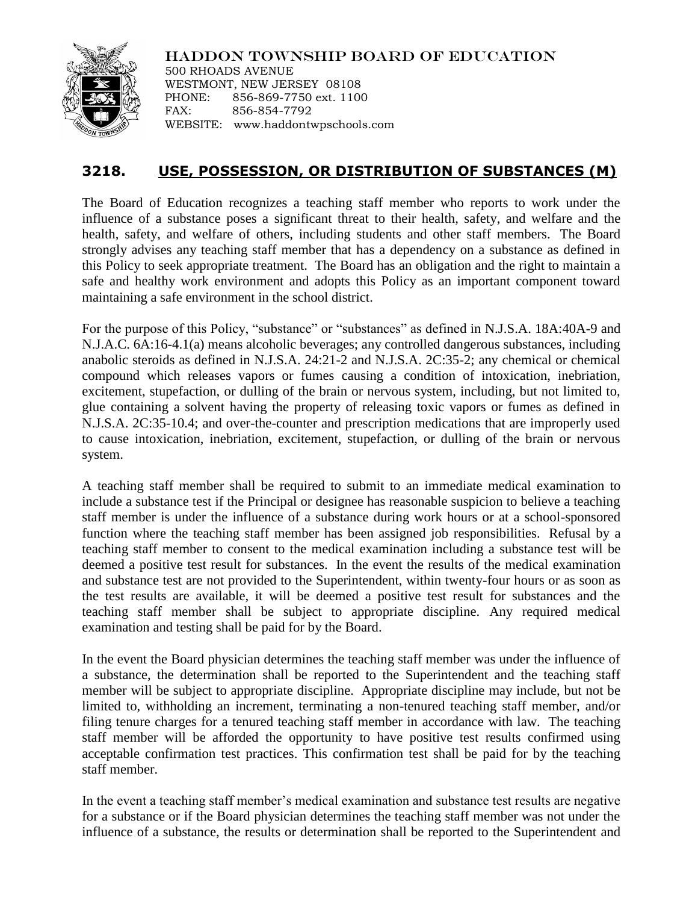

HADDON TOWNSHIP BOARD OF EDUCATION 500 RHOADS AVENUE WESTMONT, NEW JERSEY 08108

PHONE: 856-869-7750 ext. 1100 FAX: 856-854-7792 WEBSITE: www.haddontwpschools.com

## **3218. USE, POSSESSION, OR DISTRIBUTION OF SUBSTANCES (M)**

The Board of Education recognizes a teaching staff member who reports to work under the influence of a substance poses a significant threat to their health, safety, and welfare and the health, safety, and welfare of others, including students and other staff members. The Board strongly advises any teaching staff member that has a dependency on a substance as defined in this Policy to seek appropriate treatment. The Board has an obligation and the right to maintain a safe and healthy work environment and adopts this Policy as an important component toward maintaining a safe environment in the school district.

For the purpose of this Policy, "substance" or "substances" as defined in N.J.S.A. 18A:40A-9 and N.J.A.C. 6A:16-4.1(a) means alcoholic beverages; any controlled dangerous substances, including anabolic steroids as defined in N.J.S.A. 24:21-2 and N.J.S.A. 2C:35-2; any chemical or chemical compound which releases vapors or fumes causing a condition of intoxication, inebriation, excitement, stupefaction, or dulling of the brain or nervous system, including, but not limited to, glue containing a solvent having the property of releasing toxic vapors or fumes as defined in N.J.S.A. 2C:35-10.4; and over-the-counter and prescription medications that are improperly used to cause intoxication, inebriation, excitement, stupefaction, or dulling of the brain or nervous system.

A teaching staff member shall be required to submit to an immediate medical examination to include a substance test if the Principal or designee has reasonable suspicion to believe a teaching staff member is under the influence of a substance during work hours or at a school-sponsored function where the teaching staff member has been assigned job responsibilities. Refusal by a teaching staff member to consent to the medical examination including a substance test will be deemed a positive test result for substances. In the event the results of the medical examination and substance test are not provided to the Superintendent, within twenty-four hours or as soon as the test results are available, it will be deemed a positive test result for substances and the teaching staff member shall be subject to appropriate discipline. Any required medical examination and testing shall be paid for by the Board.

In the event the Board physician determines the teaching staff member was under the influence of a substance, the determination shall be reported to the Superintendent and the teaching staff member will be subject to appropriate discipline. Appropriate discipline may include, but not be limited to, withholding an increment, terminating a non-tenured teaching staff member, and/or filing tenure charges for a tenured teaching staff member in accordance with law. The teaching staff member will be afforded the opportunity to have positive test results confirmed using acceptable confirmation test practices. This confirmation test shall be paid for by the teaching staff member.

In the event a teaching staff member's medical examination and substance test results are negative for a substance or if the Board physician determines the teaching staff member was not under the influence of a substance, the results or determination shall be reported to the Superintendent and